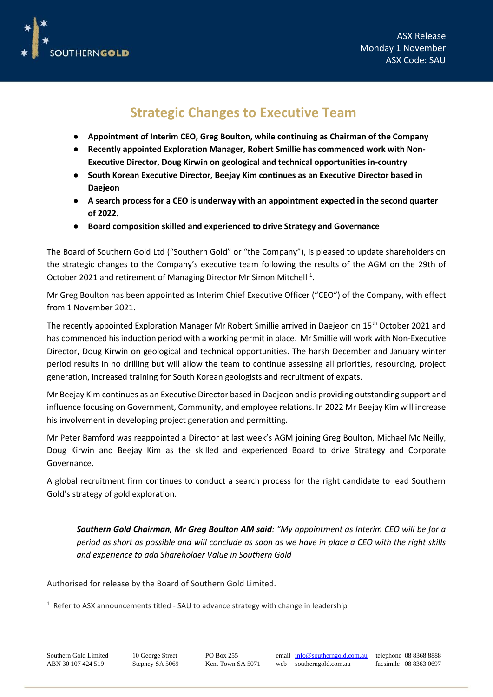

## **Strategic Changes to Executive Team**

- **Appointment of Interim CEO, Greg Boulton, while continuing as Chairman of the Company**
- **Recently appointed Exploration Manager, Robert Smillie has commenced work with Non-Executive Director, Doug Kirwin on geological and technical opportunities in-country**
- **South Korean Executive Director, Beejay Kim continues as an Executive Director based in Daejeon**
- **A search process for a CEO is underway with an appointment expected in the second quarter of 2022.**
- **Board composition skilled and experienced to drive Strategy and Governance**

The Board of Southern Gold Ltd ("Southern Gold" or "the Company"), is pleased to update shareholders on the strategic changes to the Company's executive team following the results of the AGM on the 29th of October 2021 and retirement of Managing Director Mr Simon Mitchell<sup>1</sup>.

Mr Greg Boulton has been appointed as Interim Chief Executive Officer ("CEO") of the Company, with effect from 1 November 2021.

The recently appointed Exploration Manager Mr Robert Smillie arrived in Daejeon on 15th October 2021 and has commenced his induction period with a working permit in place. Mr Smillie will work with Non-Executive Director, Doug Kirwin on geological and technical opportunities. The harsh December and January winter period results in no drilling but will allow the team to continue assessing all priorities, resourcing, project generation, increased training for South Korean geologists and recruitment of expats.

Mr Beejay Kim continues as an Executive Director based in Daejeon and is providing outstanding support and influence focusing on Government, Community, and employee relations. In 2022 Mr Beejay Kim will increase his involvement in developing project generation and permitting.

Mr Peter Bamford was reappointed a Director at last week's AGM joining Greg Boulton, Michael Mc Neilly, Doug Kirwin and Beejay Kim as the skilled and experienced Board to drive Strategy and Corporate Governance.

A global recruitment firm continues to conduct a search process for the right candidate to lead Southern Gold's strategy of gold exploration.

*Southern Gold Chairman, Mr Greg Boulton AM said: "My appointment as Interim CEO will be for a period as short as possible and will conclude as soon as we have in place a CEO with the right skills and experience to add Shareholder Value in Southern Gold*

Authorised for release by the Board of Southern Gold Limited.

<sup>1</sup> Refer to ASX announcements titled - SAU to advance strategy with change in leadership